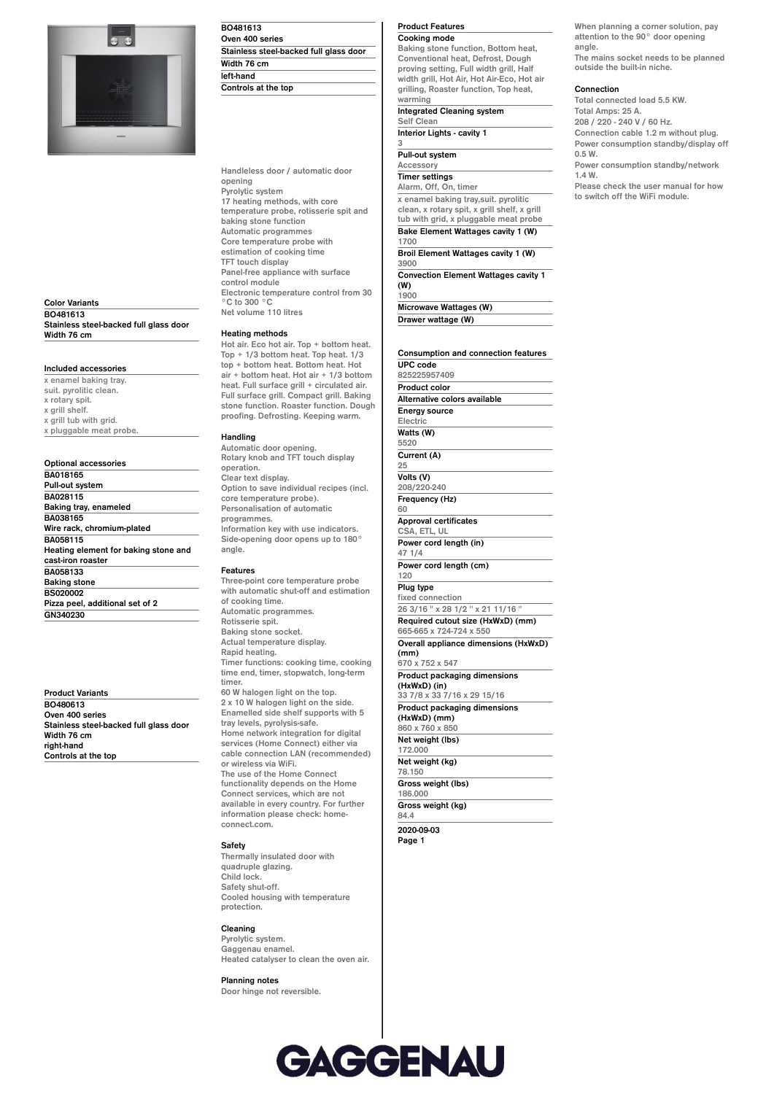

**Color Variants BO481613 Stainless steel-backed full glass door Width 76 cm**

### **Included accessories**

**x enamel baking tray. suit. pyrolitic clean. x rotary spit. x grill shelf. x grill tub with grid. x pluggable meat probe.**

**Optional accessories BA018165 Pull-out system BA028115 Baking tray, enameled BA038165 Wire rack, chromium-plated BA058115 Heating element for baking stone and cast-iron roaster BA058133 Baking stone BS020002 Pizza peel, additional set of 2 GN340230**

**Product Variants BO480613 Oven 400 series Stainless steel-backed full glass door Width 76 cm right-hand Controls at the top**

**BO481613 Oven 400 series Stainless steel-backed full glass door Width 76 cm left-hand Controls at the top**

**Handleless door / automatic door opening Pyrolytic system 17 heating methods, with core temperature probe, rotisserie spit and baking stone function Automatic programmes Core temperature probe with estimation of cooking time TFT touch display Panel-free appliance with surface control module Electronic temperature control from 30 °C to 300 °C Net volume 110 litres**

# **Heating methods**

**Hot air. Eco hot air. Top + bottom heat. Top + 1/3 bottom heat. Top heat. 1/3 top + bottom heat. Bottom heat. Hot air + bottom heat. Hot air + 1/3 bottom heat. Full surface grill + circulated air. Full surface grill. Compact grill. Baking stone function. Roaster function. Dough proofing. Defrosting. Keeping warm.**

### **Handling**

**Automatic door opening. Rotary knob and TFT touch display operation. Clear text display. Option to save individual recipes (incl. core temperature probe). Personalisation of automatic programmes. Information key with use indicators. Side-opening door opens up to 180° angle.**

#### **Features**

**Three-point core temperature probe with automatic shut-off and estimation of cooking time. Automatic programmes. Rotisserie spit. Baking stone socket. Actual temperature display. Rapid heating. Timer functions: cooking time, cooking time end, timer, stopwatch, long-term timer. 60 W halogen light on the top. 2 x 10 W halogen light on the side. Enamelled side shelf supports with 5 tray levels, pyrolysis-safe. Home network integration for digital services (Home Connect) either via cable connection LAN (recommended) or wireless via WiFi. The use of the Home Connect**

**functionality depends on the Home Connect services, which are not available in every country. For further information please check: homeconnect.com.**

# **Safety**

**Thermally insulated door with quadruple glazing. Child lock. Safety shut-off. Cooled housing with temperature protection.**

# **Cleaning**

**Pyrolytic system. Gaggenau enamel. Heated catalyser to clean the oven air.**

**Planning notes Door hinge not reversible.** **Product Features Cooking mode**

**Baking stone function, Bottom heat, Conventional heat, Defrost, Dough proving setting, Full width grill, Half width grill, Hot Air, Hot Air-Eco, Hot air grilling, Roaster function, Top heat, warming Integrated Cleaning system**

**Self Clean Interior Lights - cavity 1 3**

#### **Pull-out system**

**Drawer wattage (W)**

Accessor **Timer settings Alarm, Off, On, timer x enamel baking tray,suit. pyrolitic clean, x rotary spit, x grill shelf, x grill tub with grid, x pluggable meat probe Bake Element Wattages cavity 1 (W) 1700 Broil Element Wattages cavity 1 (W) 3900 Convection Element Wattages cavity 1 (W) 1900 Microwave Wattages (W)**

**Consumption and connection features UPC code 825225957409 Product color Alternative colors available Energy source Electric Watts (W) 5520 Current (A) 25 Volts (V) 208/220-240 Frequency (Hz) 60 Approval certificates CSA, ETL, UL Power cord length (in) 47 1/4 Power cord length (cm) 120 Plug type fixed connection 26 3/16 '' x 28 1/2 '' x 21 11/16 '' Required cutout size (HxWxD) (mm) 665-665 x 724-724 x 550 Overall appliance dimensions (HxWxD) (mm) 670 x 752 x 547 Product packaging dimensions (HxWxD) (in) 33 7/8 x 33 7/16 x 29 15/16 Product packaging dimensions (HxWxD) (mm) 860 x 760 x 850 Net weight (lbs) 172.000 Net weight (kg) 78.150 Gross weight (lbs) 186.000 Gross weight (kg) 84.4 2020-09-03**

**Page 1**



### **The mains socket needs to be planned outside the built-in niche.**

#### **Connection**

**Total connected load 5.5 KW. Total Amps: 25 A. 208 / 220 - 240 V / 60 Hz. Connection cable 1.2 m without plug. Power consumption standby/display off 0.5 W. Power consumption standby/network 1.4 W. Please check the user manual for how to switch off the WiFi module.**